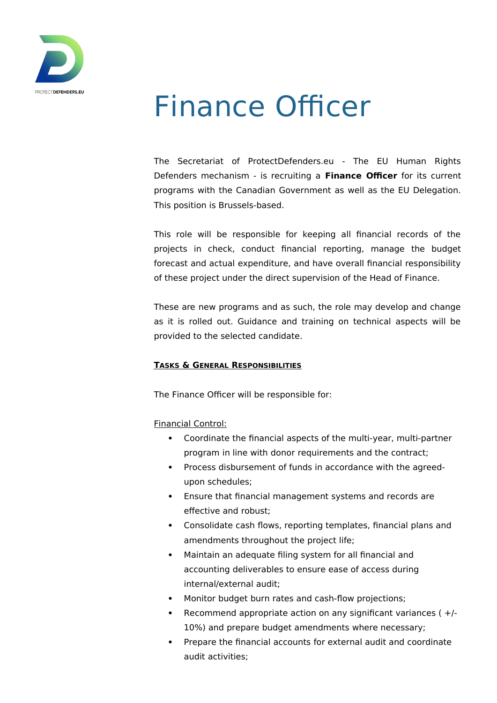

# Finance Officer

The Secretariat of ProtectDefenders.eu - The EU Human Rights Defenders mechanism - is recruiting a **Finance Officer** for its current programs with the Canadian Government as well as the EU Delegation. This position is Brussels-based.

This role will be responsible for keeping all financial records of the projects in check, conduct financial reporting, manage the budget forecast and actual expenditure, and have overall financial responsibility of these project under the direct supervision of the Head of Finance.

These are new programs and as such, the role may develop and change as it is rolled out. Guidance and training on technical aspects will be provided to the selected candidate.

# **TASKS & GENERAL RESPONSIBILITIES**

The Finance Officer will be responsible for:

Financial Control:

- Coordinate the financial aspects of the multi-year, multi-partner program in line with donor requirements and the contract;
- Process disbursement of funds in accordance with the agreedupon schedules;
- Ensure that financial management systems and records are effective and robust;
- Consolidate cash flows, reporting templates, financial plans and amendments throughout the project life;
- Maintain an adequate filing system for all financial and accounting deliverables to ensure ease of access during internal/external audit;
- Monitor budget burn rates and cash-flow projections;
- **•** Recommend appropriate action on any significant variances  $( +/- )$ 10%) and prepare budget amendments where necessary;
- Prepare the financial accounts for external audit and coordinate audit activities;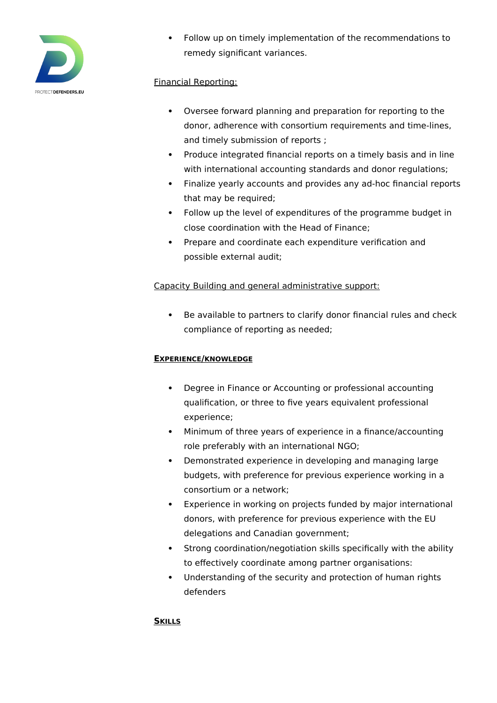

 Follow up on timely implementation of the recommendations to remedy significant variances.

# Financial Reporting:

- Oversee forward planning and preparation for reporting to the donor, adherence with consortium requirements and time-lines, and timely submission of reports ;
- Produce integrated financial reports on a timely basis and in line with international accounting standards and donor regulations;
- Finalize yearly accounts and provides any ad-hoc financial reports that may be required;
- Follow up the level of expenditures of the programme budget in close coordination with the Head of Finance;
- Prepare and coordinate each expenditure verification and possible external audit;

# Capacity Building and general administrative support:

 Be available to partners to clarify donor financial rules and check compliance of reporting as needed;

#### **EXPERIENCE/KNOWLEDGE**

- Degree in Finance or Accounting or professional accounting qualification, or three to five years equivalent professional experience;
- Minimum of three years of experience in a finance/accounting role preferably with an international NGO;
- Demonstrated experience in developing and managing large budgets, with preference for previous experience working in a consortium or a network;
- Experience in working on projects funded by major international donors, with preference for previous experience with the EU delegations and Canadian government;
- Strong coordination/negotiation skills specifically with the ability to effectively coordinate among partner organisations:
- Understanding of the security and protection of human rights defenders

#### **SKILLS**